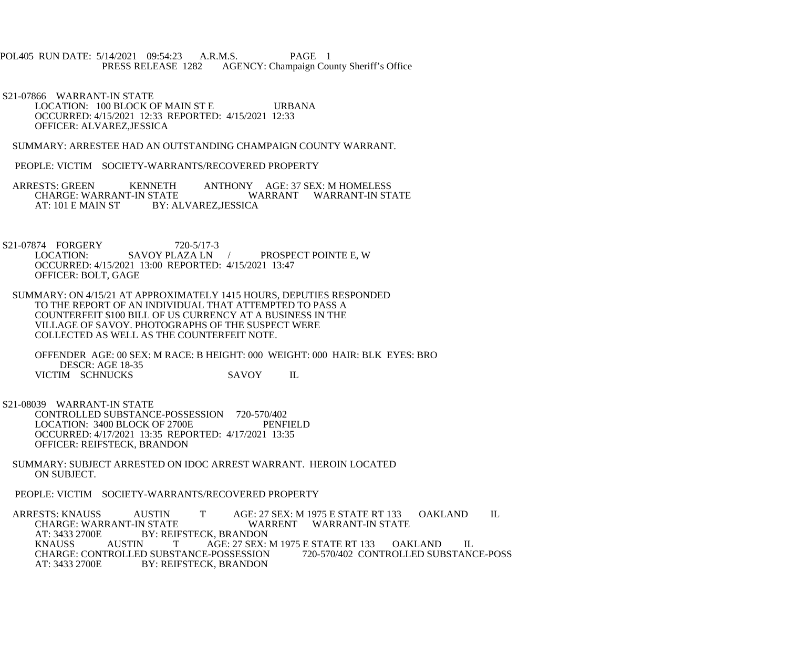## POL405 RUN DATE: 5/14/2021 09:54:23 A.R.M.S. PAGE 1<br>PRESS RELEASE 1282 AGENCY: Champaign Cou AGENCY: Champaign County Sheriff's Office

 S21-07866 WARRANT-IN STATE LOCATION: 100 BLOCK OF MAIN ST E URBANA OCCURRED: 4/15/2021 12:33 REPORTED: 4/15/2021 12:33 OFFICER: ALVAREZ,JESSICA

SUMMARY: ARRESTEE HAD AN OUTSTANDING CHAMPAIGN COUNTY WARRANT.

PEOPLE: VICTIM SOCIETY-WARRANTS/RECOVERED PROPERTY

- ARRESTS: GREEN KENNETH ANTHONY AGE: 37 SEX: M HOMELESS CHARGE: WARRANT-IN STATE WARRANT WARRANT-IN ST CHARGE: WARRANT-IN STATE WARRANT WARRANT-IN STATE<br>AT: 101 E MAIN ST BY: ALVAREZ.JESSICA BY: ALVAREZ, JESSICA
- S21-07874 FORGERY 720-5/17-3<br>LOCATION: SAVOY PLAZA LN PROSPECT POINTE E, W OCCURRED: 4/15/2021 13:00 REPORTED: 4/15/2021 13:47 OFFICER: BOLT, GAGE
- SUMMARY: ON 4/15/21 AT APPROXIMATELY 1415 HOURS, DEPUTIES RESPONDED TO THE REPORT OF AN INDIVIDUAL THAT ATTEMPTED TO PASS A COUNTERFEIT \$100 BILL OF US CURRENCY AT A BUSINESS IN THE VILLAGE OF SAVOY. PHOTOGRAPHS OF THE SUSPECT WERE COLLECTED AS WELL AS THE COUNTERFEIT NOTE.

 OFFENDER AGE: 00 SEX: M RACE: B HEIGHT: 000 WEIGHT: 000 HAIR: BLK EYES: BRO DESCR: AGE 18-35 VICTIM SCHNUCKS SAVOY IL

- S21-08039 WARRANT-IN STATE CONTROLLED SUBSTANCE-POSSESSION 720-570/402<br>LOCATION: 3400 BLOCK OF 2700E PENFIELD LOCATION: 3400 BLOCK OF 2700E OCCURRED: 4/17/2021 13:35 REPORTED: 4/17/2021 13:35 OFFICER: REIFSTECK, BRANDON
- SUMMARY: SUBJECT ARRESTED ON IDOC ARREST WARRANT. HEROIN LOCATED ON SUBJECT.

PEOPLE: VICTIM SOCIETY-WARRANTS/RECOVERED PROPERTY

ARRESTS: KNAUSS AUSTIN T AGE: 27 SEX: M 1975 E STATE RT 133 OAKLAND IL CHARGE: WARRANT-IN STATE CHARGE: WARRANT-IN STATE WARRENT WARRANT-IN STATE<br>AT: 3433 2700E BY: REIFSTECK. BRANDON AT: 3433 2700E BY: REIFSTECK, BRANDON<br>KNAUSS AUSTIN T AGE: 27 SEX: AGE: 27 SEX: M 1975 E STATE RT 133 OAKLAND IL<br>E-POSSESSION 720-570/402 CONTROLLED SUBSTANCE-POSS CHARGE: CONTROLLED SUBSTANCE-POSSESSION<br>AT: 3433 2700E BY: REIFSTECK. BRANDON BY: REIFSTECK, BRANDON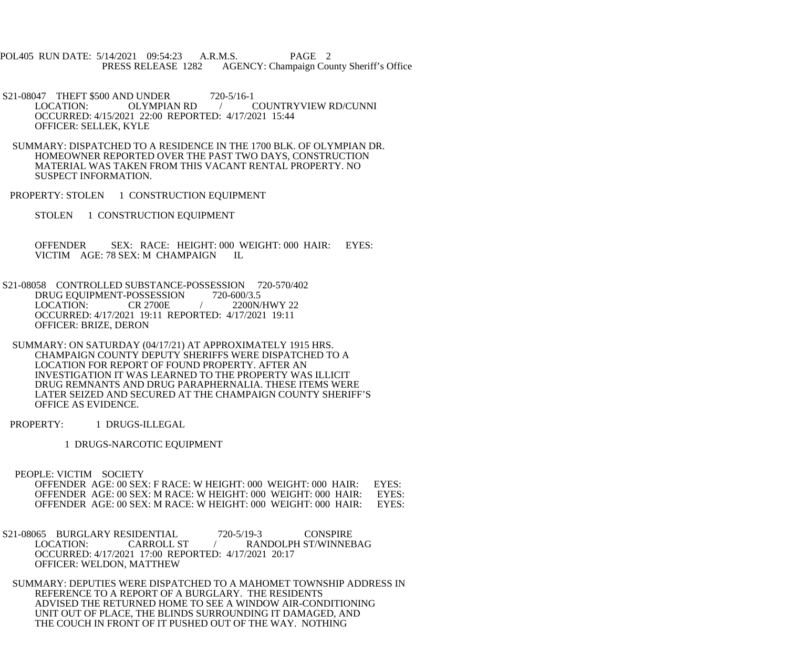POL405 RUN DATE: 5/14/2021 09:54:23 A.R.M.S. PAGE 2<br>PRESS RELEASE 1282 AGENCY: Champaign Cou AGENCY: Champaign County Sheriff's Office

S21-08047 THEFT \$500 AND UNDER 720-5/16-1<br>LOCATION: OLYMPIAN RD / ( COUNTRYVIEW RD/CUNNI OCCURRED: 4/15/2021 22:00 REPORTED: 4/17/2021 15:44 OFFICER: SELLEK, KYLE

 SUMMARY: DISPATCHED TO A RESIDENCE IN THE 1700 BLK. OF OLYMPIAN DR. HOMEOWNER REPORTED OVER THE PAST TWO DAYS, CONSTRUCTION MATERIAL WAS TAKEN FROM THIS VACANT RENTAL PROPERTY. NO SUSPECT INFORMATION.

PROPERTY: STOLEN 1 CONSTRUCTION EQUIPMENT

STOLEN 1 CONSTRUCTION EQUIPMENT

 OFFENDER SEX: RACE: HEIGHT: 000 WEIGHT: 000 HAIR: EYES: VICTIM AGE: 78 SEX: M CHAMPAIGN IL

 S21-08058 CONTROLLED SUBSTANCE-POSSESSION 720-570/402 DRUG EQUIPMENT-POSSESSION 720-600/3.5<br>LOCATION: CR 2700E / 2200N/ 2200N/HWY 22 OCCURRED: 4/17/2021 19:11 REPORTED: 4/17/2021 19:11 OFFICER: BRIZE, DERON

 SUMMARY: ON SATURDAY (04/17/21) AT APPROXIMATELY 1915 HRS. CHAMPAIGN COUNTY DEPUTY SHERIFFS WERE DISPATCHED TO A LOCATION FOR REPORT OF FOUND PROPERTY. AFTER AN INVESTIGATION IT WAS LEARNED TO THE PROPERTY WAS ILLICIT DRUG REMNANTS AND DRUG PARAPHERNALIA. THESE ITEMS WERE LATER SEIZED AND SECURED AT THE CHAMPAIGN COUNTY SHERIFF'S OFFICE AS EVIDENCE.

PROPERTY: 1 DRUGS-ILLEGAL

1 DRUGS-NARCOTIC EQUIPMENT

PEOPLE: VICTIM SOCIETY

OFFENDER AGE: 00 SEX: F RACE: W HEIGHT: 000 WEIGHT: 000 HAIR: EYES: OFFENDER AGE: 00 SEX: M RACE: W HEIGHT: 000 WEIGHT: 000 HAIR: EYES: OFFENDER AGE: 00 SEX: M RACE: W HEIGHT: 000 WEIGHT: 000 HAIR: OFFENDER AGE: 00 SEX: M RACE: W HEIGHT: 000 WEIGHT: 000 HAIR: EYES:

S21-08065 BURGLARY RESIDENTIAL 720-5/19-3 CONSPIRE<br>LOCATION: CARROLL ST / RANDOLPH ST/WINNER / RANDOLPH ST/WINNEBAG OCCURRED: 4/17/2021 17:00 REPORTED: 4/17/2021 20:17 OFFICER: WELDON, MATTHEW

 SUMMARY: DEPUTIES WERE DISPATCHED TO A MAHOMET TOWNSHIP ADDRESS IN REFERENCE TO A REPORT OF A BURGLARY. THE RESIDENTS ADVISED THE RETURNED HOME TO SEE A WINDOW AIR-CONDITIONING UNIT OUT OF PLACE, THE BLINDS SURROUNDING IT DAMAGED, AND THE COUCH IN FRONT OF IT PUSHED OUT OF THE WAY. NOTHING